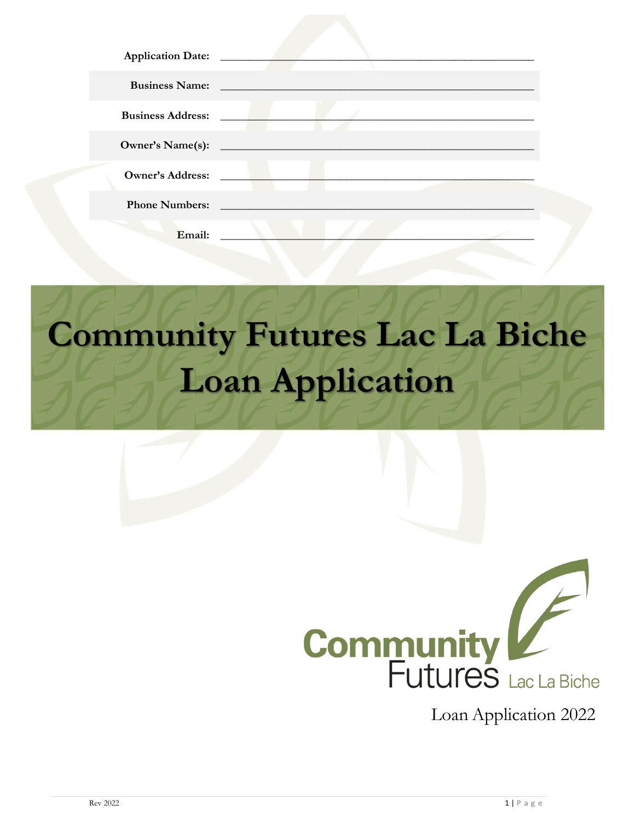| Application Date: ________ |                                                                                                                                                                                                                                     |  |
|----------------------------|-------------------------------------------------------------------------------------------------------------------------------------------------------------------------------------------------------------------------------------|--|
|                            | <b>Business Name:</b> The Company of the Company of the Company of the Company of the Company of the Company of the Company of the Company of the Company of the Company of the Company of the Company of the Company of the Compan |  |
| <b>Business Address:</b>   | and the state of the state                                                                                                                                                                                                          |  |
| <b>Owner's Name(s):</b>    |                                                                                                                                                                                                                                     |  |
| Owner's Address:           | the contract of the contract of the contract of the contract of the contract of the contract of the contract of                                                                                                                     |  |
| <b>Phone Numbers:</b>      |                                                                                                                                                                                                                                     |  |
| Email:                     |                                                                                                                                                                                                                                     |  |

# **Community Futures Lac La Biche Loan Application**



Loan Application 2022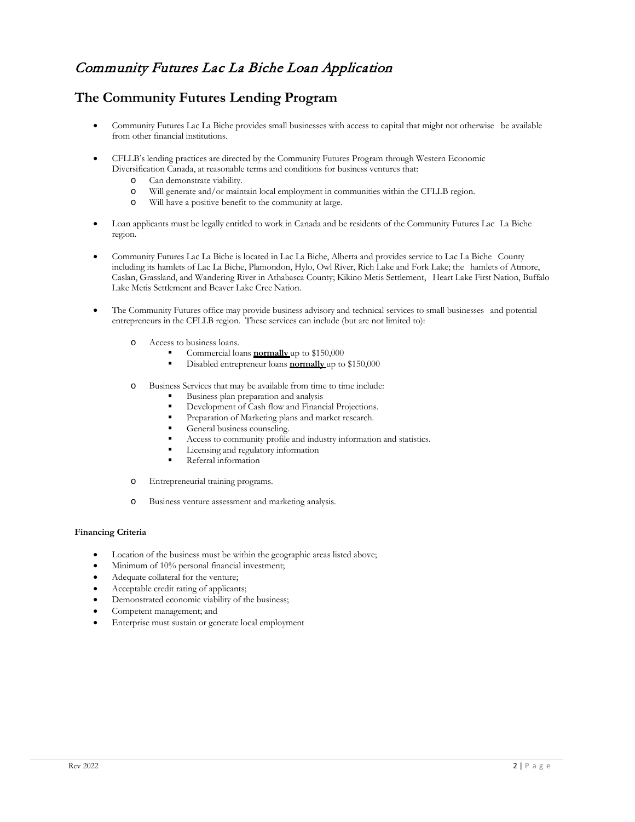# Community Futures Lac La Biche Loan Application

# **The Community Futures Lending Program**

- Community Futures Lac La Biche provides small businesses with access to capital that might not otherwise be available from other financial institutions.
- CFLLB's lending practices are directed by the Community Futures Program through Western Economic Diversification Canada, at reasonable terms and conditions for business ventures that:
	- o Can demonstrate viability.
	- o Will generate and/or maintain local employment in communities within the CFLLB region.
	- o Will have a positive benefit to the community at large.
- Loan applicants must be legally entitled to work in Canada and be residents of the Community Futures Lac La Biche region.
- Community Futures Lac La Biche is located in Lac La Biche, Alberta and provides service to Lac La Biche County including its hamlets of Lac La Biche, Plamondon, Hylo, Owl River, Rich Lake and Fork Lake; the hamlets of Atmore, Caslan, Grassland, and Wandering River in Athabasca County; Kikino Metis Settlement, Heart Lake First Nation, Buffalo Lake Metis Settlement and Beaver Lake Cree Nation.
- The Community Futures office may provide business advisory and technical services to small businesses and potential entrepreneurs in the CFLLB region. These services can include (but are not limited to):
	- o Access to business loans.
		- Commercial loans **normally** up to \$150,000
		- Disabled entrepreneur loans **normally** up to \$150,000
	- o Business Services that may be available from time to time include:
		- Business plan preparation and analysis
		- Development of Cash flow and Financial Projections.
		- Preparation of Marketing plans and market research.
		- General business counseling.
		- Access to community profile and industry information and statistics.
		- Licensing and regulatory information
		- Referral information
	- o Entrepreneurial training programs.
	- o Business venture assessment and marketing analysis.

#### **Financing Criteria**

- Location of the business must be within the geographic areas listed above;
- Minimum of 10% personal financial investment;
- Adequate collateral for the venture;
- Acceptable credit rating of applicants;
- Demonstrated economic viability of the business;
- Competent management; and
- Enterprise must sustain or generate local employment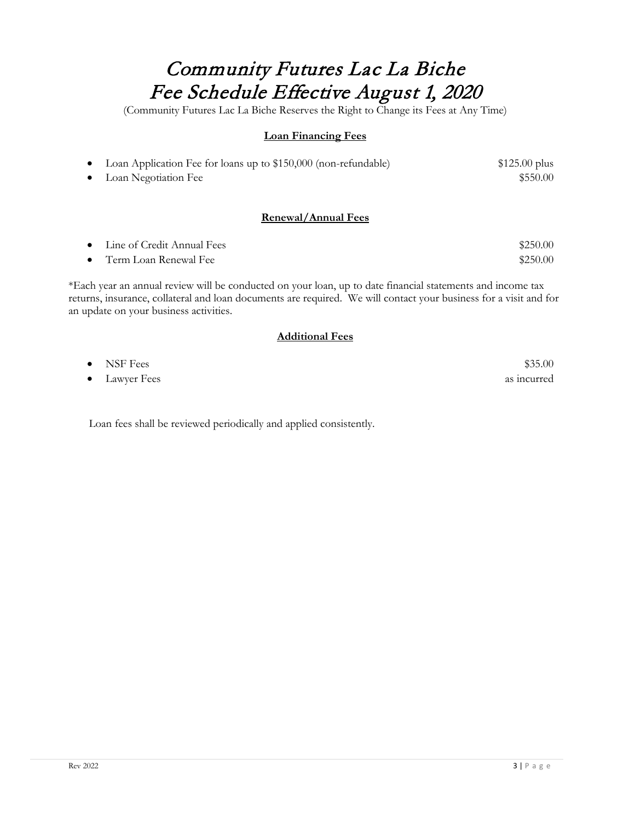# Community Futures Lac La Biche Fee Schedule Effective August 1, 2020

(Community Futures Lac La Biche Reserves the Right to Change its Fees at Any Time)

# **Loan Financing Fees**

| Loan Application Fee for loans up to \$150,000 (non-refundable) | $$125.00$ plus |
|-----------------------------------------------------------------|----------------|
| • Loan Negotiation Fee                                          | \$550.00       |

# **Renewal/Annual Fees**

| • Line of Credit Annual Fees | \$250.00 |
|------------------------------|----------|
| • Term Loan Renewal Fee      | \$250.00 |

\*Each year an annual review will be conducted on your loan, up to date financial statements and income tax returns, insurance, collateral and loan documents are required. We will contact your business for a visit and for an update on your business activities.

# **Additional Fees**

| $\bullet$ NSF Fees | \$35.00     |
|--------------------|-------------|
| • Lawyer Fees      | as incurred |

Loan fees shall be reviewed periodically and applied consistently.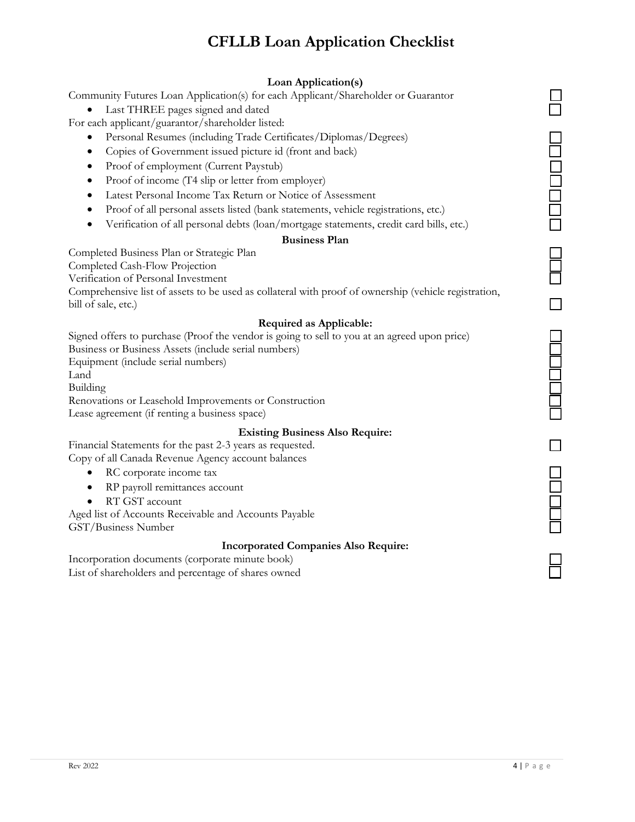# **CFLLB Loan Application Checklist**

# **Loan Application(s)**

Community Futures Loan Application(s) for each Applicant/Shareholder or Guarantor

• Last THREE pages signed and dated

For each applicant/guarantor/shareholder listed:

- Personal Resumes (including Trade Certificates/Diplomas/Degrees)
- Copies of Government issued picture id (front and back)
- Proof of employment (Current Paystub)
- Proof of income (T4 slip or letter from employer)
- Latest Personal Income Tax Return or Notice of Assessment
- Proof of all personal assets listed (bank statements, vehicle registrations, etc.)
- Verification of all personal debts (loan/mortgage statements, credit card bills, etc.)

## **Business Plan**

Completed Business Plan or Strategic Plan

Completed Cash-Flow Projection

Verification of Personal Investment

Comprehensive list of assets to be used as collateral with proof of ownership (vehicle registration, bill of sale, etc.)

## **Required as Applicable:**

Signed offers to purchase (Proof the vendor is going to sell to you at an agreed upon price) Business or Business Assets (include serial numbers) Equipment (include serial numbers) Land Building Renovations or Leasehold Improvements or Construction Lease agreement (if renting a business space)

#### **Existing Business Also Require:**

Financial Statements for the past 2-3 years as requested. Copy of all Canada Revenue Agency account balances

- RC corporate income tax
- RP payroll remittances account
- RT GST account

Aged list of Accounts Receivable and Accounts Payable GST/Business Number

## **Incorporated Companies Also Require:**

Incorporation documents (corporate minute book) List of shareholders and percentage of shares owned

| $\overline{\phantom{a}}$<br>I |      |
|-------------------------------|------|
| l                             |      |
|                               |      |
|                               | ׇ֞֘֡ |
|                               |      |
|                               |      |
|                               |      |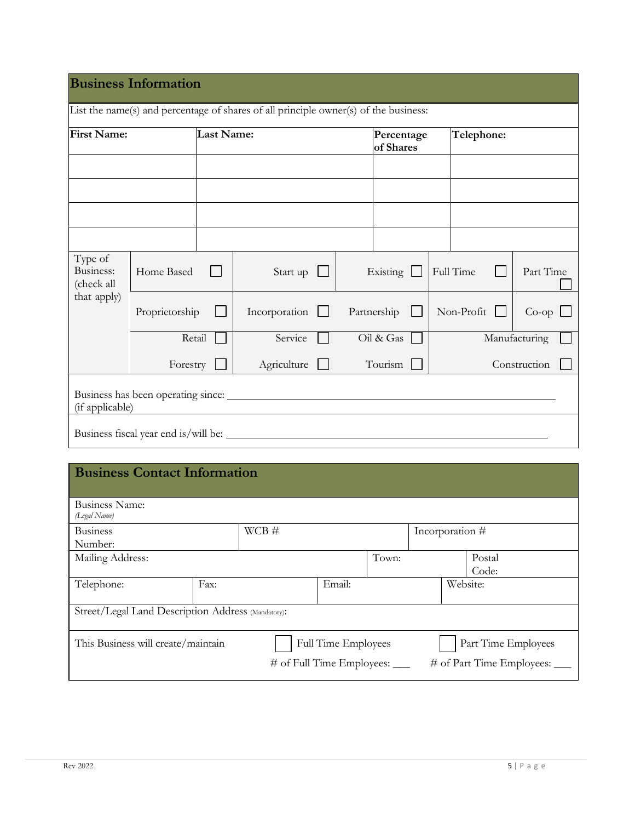| <b>First Name:</b>                 |                 | Last Name: |               |  | Percentage<br>of Shares |             | Telephone: |            |               |
|------------------------------------|-----------------|------------|---------------|--|-------------------------|-------------|------------|------------|---------------|
|                                    |                 |            |               |  |                         |             |            |            |               |
|                                    |                 |            |               |  |                         |             |            |            |               |
|                                    |                 |            |               |  |                         |             |            |            |               |
|                                    |                 |            |               |  |                         |             |            |            |               |
| Type of<br>Business:<br>(check all | Home Based      |            | Start up      |  |                         | Existing    |            | Full Time  | Part Time     |
| that apply)                        | Proprietorship  |            | Incorporation |  |                         | Partnership |            | Non-Profit | $Co$ -op      |
|                                    | Retail          |            | Service       |  |                         | Oil & Gas   |            |            | Manufacturing |
|                                    | Forestry        |            | Agriculture   |  |                         | Tourism     |            |            | Construction  |
|                                    | (if applicable) |            |               |  |                         |             |            |            |               |

# **Business Contact Information**

| Business Name:                                     |      |                                |                            |       |                             |  |
|----------------------------------------------------|------|--------------------------------|----------------------------|-------|-----------------------------|--|
| (Legal Name)                                       |      |                                |                            |       |                             |  |
|                                                    |      |                                |                            |       |                             |  |
| <b>Business</b>                                    |      | $WCB \#$                       |                            |       | Incorporation #             |  |
| Number:                                            |      |                                |                            |       |                             |  |
|                                                    |      |                                |                            |       |                             |  |
| Mailing Address:                                   |      |                                |                            | Town: | Postal                      |  |
|                                                    |      |                                |                            |       | Code:                       |  |
| Telephone:                                         | Fax: |                                | Email:                     |       | Website:                    |  |
|                                                    |      |                                |                            |       |                             |  |
|                                                    |      |                                |                            |       |                             |  |
| Street/Legal Land Description Address (Mandatory): |      |                                |                            |       |                             |  |
|                                                    |      |                                |                            |       |                             |  |
|                                                    |      |                                |                            |       |                             |  |
|                                                    |      |                                |                            |       |                             |  |
| This Business will create/maintain                 |      |                                | <b>Full Time Employees</b> |       | Part Time Employees         |  |
|                                                    |      |                                |                            |       |                             |  |
|                                                    |      | # of Full Time Employees: ____ |                            |       | # of Part Time Employees: _ |  |
|                                                    |      |                                |                            |       |                             |  |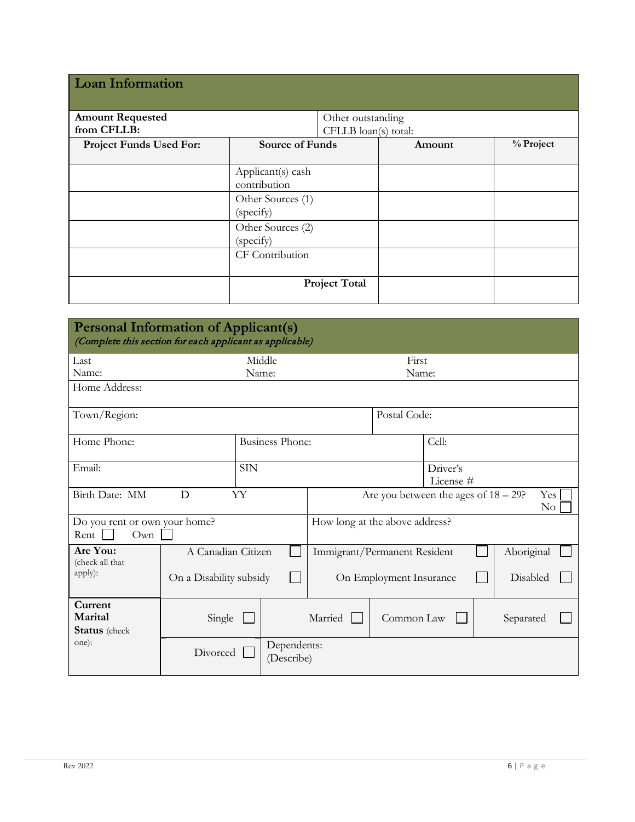| <b>Loan Information</b>        |                                   |                      |        |           |  |  |
|--------------------------------|-----------------------------------|----------------------|--------|-----------|--|--|
| <b>Amount Requested</b>        |                                   | Other outstanding    |        |           |  |  |
| from CFLLB:                    |                                   | CFLLB loan(s) total: |        |           |  |  |
| <b>Project Funds Used For:</b> | <b>Source of Funds</b>            |                      | Amount | % Project |  |  |
|                                |                                   |                      |        |           |  |  |
|                                | Applicant(s) cash<br>contribution |                      |        |           |  |  |
|                                | Other Sources (1)<br>(specify)    |                      |        |           |  |  |
|                                | Other Sources (2)<br>(specify)    |                      |        |           |  |  |
|                                | CF Contribution                   |                      |        |           |  |  |
|                                |                                   | <b>Project Total</b> |        |           |  |  |

| <b>Personal Information of Applicant(s)</b><br>(Complete this section for each applicant as applicable) |                                       |                        |                                                            |            |       |            |  |
|---------------------------------------------------------------------------------------------------------|---------------------------------------|------------------------|------------------------------------------------------------|------------|-------|------------|--|
| Last                                                                                                    |                                       | Middle                 | First                                                      |            |       |            |  |
| Name:<br>Name:                                                                                          |                                       |                        |                                                            | Name:      |       |            |  |
| Home Address:                                                                                           |                                       |                        |                                                            |            |       |            |  |
| Town/Region:                                                                                            |                                       |                        | Postal Code:                                               |            |       |            |  |
| Home Phone:                                                                                             |                                       | <b>Business Phone:</b> |                                                            |            | Cell: |            |  |
| <b>SIN</b><br>Email:                                                                                    |                                       |                        | Driver's<br>License #                                      |            |       |            |  |
| D<br>Birth Date: MM<br>YY                                                                               |                                       |                        | Are you between the ages of $18 - 29$ ?<br>Yes<br>$\rm No$ |            |       |            |  |
| Do you rent or own your home?<br>Rent  <br>Own                                                          |                                       |                        | How long at the above address?                             |            |       |            |  |
| Are You:<br>(check all that                                                                             | A Canadian Citizen                    |                        | Immigrant/Permanent Resident                               |            |       | Aboriginal |  |
| apply):                                                                                                 | On a Disability subsidy               |                        | Disabled<br>On Employment Insurance                        |            |       |            |  |
| Current<br>Marital<br><b>Status</b> (check                                                              | Single                                |                        | Married                                                    | Common Law |       | Separated  |  |
| one):                                                                                                   | Dependents:<br>Divorced<br>(Describe) |                        |                                                            |            |       |            |  |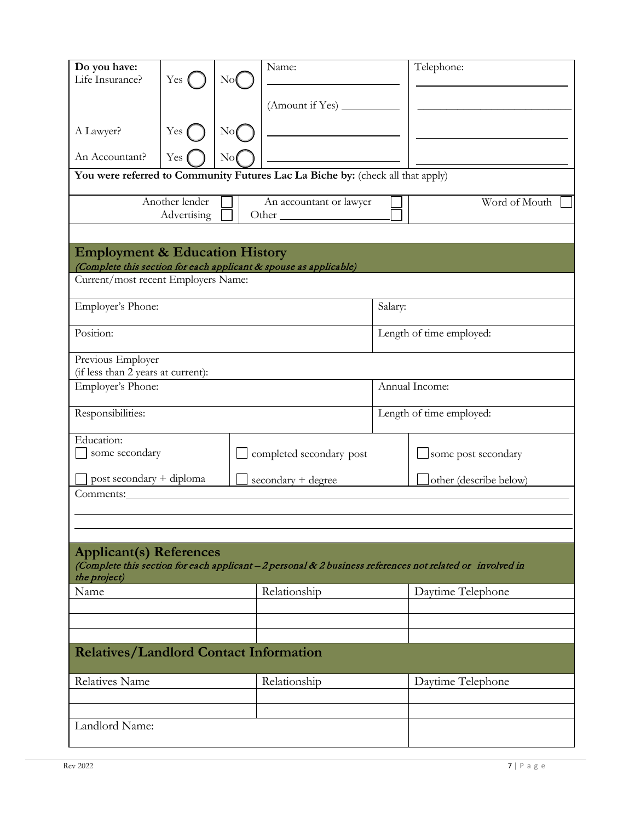| Do you have:<br>Life Insurance?                         | $Yes$ (                       | N <sub>0</sub> | Name:                                                                          |         | Telephone:                                                                                                |  |  |
|---------------------------------------------------------|-------------------------------|----------------|--------------------------------------------------------------------------------|---------|-----------------------------------------------------------------------------------------------------------|--|--|
|                                                         |                               |                |                                                                                |         |                                                                                                           |  |  |
|                                                         |                               |                |                                                                                |         |                                                                                                           |  |  |
| A Lawyer?                                               | Yes                           | Nof            |                                                                                |         |                                                                                                           |  |  |
| An Accountant?                                          | Yes                           | $\rm No$       |                                                                                |         |                                                                                                           |  |  |
|                                                         |                               |                | You were referred to Community Futures Lac La Biche by: (check all that apply) |         |                                                                                                           |  |  |
|                                                         | Another lender<br>Advertising |                | An accountant or lawyer                                                        |         | Word of Mouth                                                                                             |  |  |
| <b>Employment &amp; Education History</b>               |                               |                |                                                                                |         |                                                                                                           |  |  |
| Current/most recent Employers Name:                     |                               |                | (Complete this section for each applicant & spouse as applicable)              |         |                                                                                                           |  |  |
|                                                         |                               |                |                                                                                |         |                                                                                                           |  |  |
| Employer's Phone:                                       |                               |                |                                                                                | Salary: |                                                                                                           |  |  |
| Position:                                               |                               |                | Length of time employed:                                                       |         |                                                                                                           |  |  |
| Previous Employer<br>(if less than 2 years at current): |                               |                |                                                                                |         |                                                                                                           |  |  |
| Employer's Phone:                                       |                               |                |                                                                                |         | Annual Income:                                                                                            |  |  |
| Responsibilities:                                       |                               |                |                                                                                |         | Length of time employed:                                                                                  |  |  |
| Education:<br>some secondary                            |                               |                | completed secondary post                                                       |         | some post secondary                                                                                       |  |  |
| post secondary + diploma                                |                               |                | secondary + degree                                                             |         | other (describe below)                                                                                    |  |  |
| Comments:                                               |                               |                |                                                                                |         |                                                                                                           |  |  |
|                                                         |                               |                |                                                                                |         |                                                                                                           |  |  |
| <b>Applicant(s) References</b>                          |                               |                |                                                                                |         |                                                                                                           |  |  |
| the project)                                            |                               |                |                                                                                |         | (Complete this section for each applicant - 2 personal & 2 business references not related or involved in |  |  |
| Name                                                    |                               |                | Relationship                                                                   |         | Daytime Telephone                                                                                         |  |  |
|                                                         |                               |                |                                                                                |         |                                                                                                           |  |  |
|                                                         |                               |                |                                                                                |         |                                                                                                           |  |  |
| <b>Relatives/Landlord Contact Information</b>           |                               |                |                                                                                |         |                                                                                                           |  |  |
| Relatives Name                                          |                               |                | Relationship                                                                   |         | Daytime Telephone                                                                                         |  |  |
|                                                         |                               |                |                                                                                |         |                                                                                                           |  |  |
| Landlord Name:                                          |                               |                |                                                                                |         |                                                                                                           |  |  |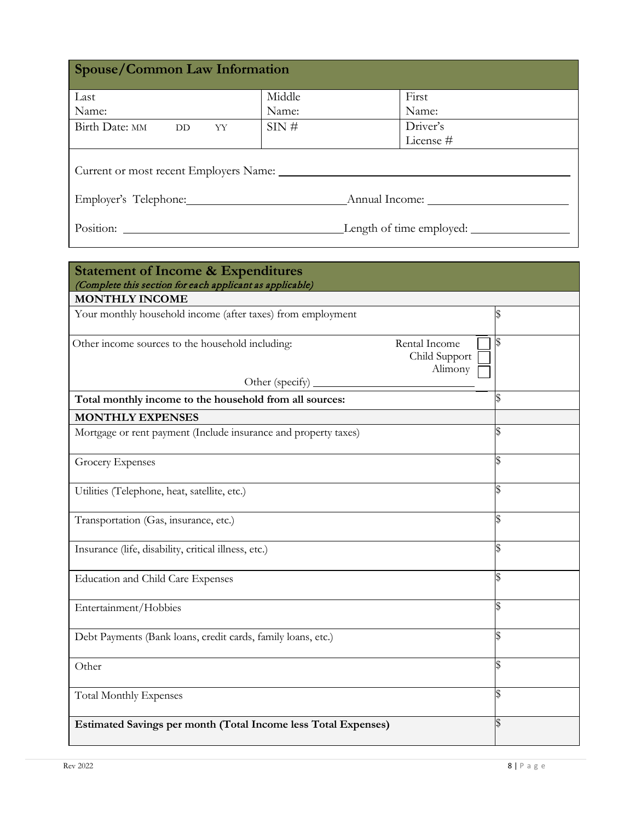| <b>Spouse/Common Law Information</b>                                                                                                                                                                                                                                                                                     |        |                       |  |  |  |
|--------------------------------------------------------------------------------------------------------------------------------------------------------------------------------------------------------------------------------------------------------------------------------------------------------------------------|--------|-----------------------|--|--|--|
| Last                                                                                                                                                                                                                                                                                                                     | Middle | First                 |  |  |  |
| Name:                                                                                                                                                                                                                                                                                                                    | Name:  | Name:                 |  |  |  |
| Birth Date: MM<br>DD YY                                                                                                                                                                                                                                                                                                  | SIN#   | Driver's<br>License # |  |  |  |
|                                                                                                                                                                                                                                                                                                                          |        |                       |  |  |  |
|                                                                                                                                                                                                                                                                                                                          |        |                       |  |  |  |
| Employer's Telephone:<br>Annual Income:<br>Position:<br>Length of time employed:<br><u> 1989 - Jan Stern Stern Stern Stern Stern Stern Stern Stern Stern Stern Stern Stern Stern Stern Stern Stern Stern Stern Stern Stern Stern Stern Stern Stern Stern Stern Stern Stern Stern Stern Stern Stern Stern Stern Stern</u> |        |                       |  |  |  |

| <b>Statement of Income &amp; Expenditures</b><br>(Complete this section for each applicant as applicable) |    |
|-----------------------------------------------------------------------------------------------------------|----|
| <b>MONTHLY INCOME</b>                                                                                     |    |
| Your monthly household income (after taxes) from employment                                               |    |
| Other income sources to the household including:<br>Rental Income<br>Child Support<br>Alimony             | S  |
| Other (specify)                                                                                           |    |
| Total monthly income to the household from all sources:                                                   |    |
| <b>MONTHLY EXPENSES</b>                                                                                   |    |
| Mortgage or rent payment (Include insurance and property taxes)                                           | \$ |
| <b>Grocery Expenses</b>                                                                                   |    |
| Utilities (Telephone, heat, satellite, etc.)                                                              |    |
| Transportation (Gas, insurance, etc.)                                                                     |    |
| Insurance (life, disability, critical illness, etc.)                                                      |    |
| Education and Child Care Expenses                                                                         |    |
| Entertainment/Hobbies                                                                                     |    |
| Debt Payments (Bank loans, credit cards, family loans, etc.)                                              |    |
| Other                                                                                                     |    |
| <b>Total Monthly Expenses</b>                                                                             |    |
| Estimated Savings per month (Total Income less Total Expenses)                                            |    |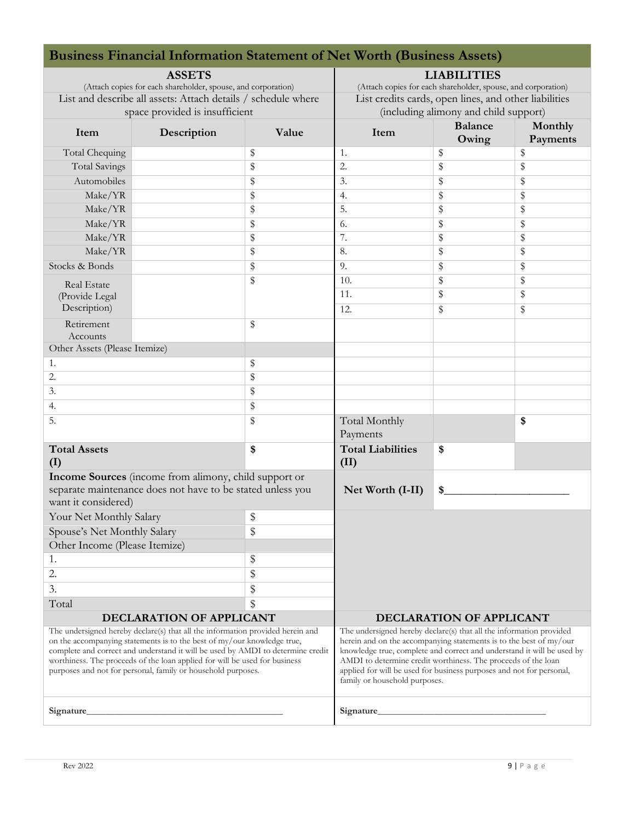| <b>Business Financial Information Statement of Net Worth (Business Assets)</b>                                                                                                                                                                                                                                                                                                             |                                                               |                                                                                                                                                                                                                                                                                                                                                                                               |                                  |                                                               |                     |  |  |
|--------------------------------------------------------------------------------------------------------------------------------------------------------------------------------------------------------------------------------------------------------------------------------------------------------------------------------------------------------------------------------------------|---------------------------------------------------------------|-----------------------------------------------------------------------------------------------------------------------------------------------------------------------------------------------------------------------------------------------------------------------------------------------------------------------------------------------------------------------------------------------|----------------------------------|---------------------------------------------------------------|---------------------|--|--|
| <b>ASSETS</b>                                                                                                                                                                                                                                                                                                                                                                              |                                                               |                                                                                                                                                                                                                                                                                                                                                                                               | <b>LIABILITIES</b>               |                                                               |                     |  |  |
|                                                                                                                                                                                                                                                                                                                                                                                            | (Attach copies for each shareholder, spouse, and corporation) |                                                                                                                                                                                                                                                                                                                                                                                               |                                  | (Attach copies for each shareholder, spouse, and corporation) |                     |  |  |
|                                                                                                                                                                                                                                                                                                                                                                                            | List and describe all assets: Attach details / schedule where |                                                                                                                                                                                                                                                                                                                                                                                               |                                  | List credits cards, open lines, and other liabilities         |                     |  |  |
|                                                                                                                                                                                                                                                                                                                                                                                            | space provided is insufficient                                |                                                                                                                                                                                                                                                                                                                                                                                               |                                  | (including alimony and child support)                         |                     |  |  |
| Item                                                                                                                                                                                                                                                                                                                                                                                       | Description                                                   | Value                                                                                                                                                                                                                                                                                                                                                                                         | Item                             | <b>Balance</b><br>Owing                                       | Monthly<br>Payments |  |  |
| Total Chequing                                                                                                                                                                                                                                                                                                                                                                             |                                                               | \$                                                                                                                                                                                                                                                                                                                                                                                            | 1.                               | \$                                                            | \$                  |  |  |
| <b>Total Savings</b>                                                                                                                                                                                                                                                                                                                                                                       |                                                               | \$                                                                                                                                                                                                                                                                                                                                                                                            | 2.                               | \$                                                            | \$                  |  |  |
| Automobiles                                                                                                                                                                                                                                                                                                                                                                                |                                                               | \$                                                                                                                                                                                                                                                                                                                                                                                            | 3.                               | \$                                                            | \$                  |  |  |
| Make/YR                                                                                                                                                                                                                                                                                                                                                                                    |                                                               | \$                                                                                                                                                                                                                                                                                                                                                                                            | $\overline{4}$ .                 | \$                                                            | \$                  |  |  |
| Make/YR                                                                                                                                                                                                                                                                                                                                                                                    |                                                               | \$                                                                                                                                                                                                                                                                                                                                                                                            | 5.                               | \$                                                            | \$                  |  |  |
| Make/YR                                                                                                                                                                                                                                                                                                                                                                                    |                                                               | \$                                                                                                                                                                                                                                                                                                                                                                                            | 6.                               | \$                                                            | \$                  |  |  |
| Make/YR                                                                                                                                                                                                                                                                                                                                                                                    |                                                               | \$                                                                                                                                                                                                                                                                                                                                                                                            | 7.                               | \$                                                            | \$                  |  |  |
| Make/YR                                                                                                                                                                                                                                                                                                                                                                                    |                                                               | \$                                                                                                                                                                                                                                                                                                                                                                                            | 8.                               | \$                                                            | \$                  |  |  |
| Stocks & Bonds                                                                                                                                                                                                                                                                                                                                                                             |                                                               | \$                                                                                                                                                                                                                                                                                                                                                                                            | 9.                               | \$                                                            | \$                  |  |  |
| Real Estate                                                                                                                                                                                                                                                                                                                                                                                |                                                               | \$                                                                                                                                                                                                                                                                                                                                                                                            | 10.                              | \$                                                            | \$                  |  |  |
| (Provide Legal                                                                                                                                                                                                                                                                                                                                                                             |                                                               |                                                                                                                                                                                                                                                                                                                                                                                               | 11.                              | \$                                                            | \$                  |  |  |
| Description)                                                                                                                                                                                                                                                                                                                                                                               |                                                               |                                                                                                                                                                                                                                                                                                                                                                                               | 12.                              | \$                                                            | \$                  |  |  |
| Retirement<br>Accounts                                                                                                                                                                                                                                                                                                                                                                     |                                                               | \$                                                                                                                                                                                                                                                                                                                                                                                            |                                  |                                                               |                     |  |  |
| Other Assets (Please Itemize)                                                                                                                                                                                                                                                                                                                                                              |                                                               |                                                                                                                                                                                                                                                                                                                                                                                               |                                  |                                                               |                     |  |  |
| 1.                                                                                                                                                                                                                                                                                                                                                                                         |                                                               | \$                                                                                                                                                                                                                                                                                                                                                                                            |                                  |                                                               |                     |  |  |
| 2.                                                                                                                                                                                                                                                                                                                                                                                         |                                                               | \$                                                                                                                                                                                                                                                                                                                                                                                            |                                  |                                                               |                     |  |  |
| 3.                                                                                                                                                                                                                                                                                                                                                                                         |                                                               | \$                                                                                                                                                                                                                                                                                                                                                                                            |                                  |                                                               |                     |  |  |
| 4.                                                                                                                                                                                                                                                                                                                                                                                         |                                                               | \$                                                                                                                                                                                                                                                                                                                                                                                            |                                  |                                                               |                     |  |  |
| 5.                                                                                                                                                                                                                                                                                                                                                                                         |                                                               | \$                                                                                                                                                                                                                                                                                                                                                                                            | Total Monthly<br>Payments        |                                                               | \$                  |  |  |
| <b>Total Assets</b><br>(I)                                                                                                                                                                                                                                                                                                                                                                 |                                                               | \$                                                                                                                                                                                                                                                                                                                                                                                            | <b>Total Liabilities</b><br>(II) | \$                                                            |                     |  |  |
|                                                                                                                                                                                                                                                                                                                                                                                            | Income Sources (income from alimony, child support or         |                                                                                                                                                                                                                                                                                                                                                                                               |                                  |                                                               |                     |  |  |
| want it considered)                                                                                                                                                                                                                                                                                                                                                                        | separate maintenance does not have to be stated unless you    |                                                                                                                                                                                                                                                                                                                                                                                               | Net Worth (I-II)                 | \$                                                            |                     |  |  |
| Your Net Monthly Salary                                                                                                                                                                                                                                                                                                                                                                    |                                                               | \$                                                                                                                                                                                                                                                                                                                                                                                            |                                  |                                                               |                     |  |  |
| Spouse's Net Monthly Salary                                                                                                                                                                                                                                                                                                                                                                |                                                               | \$                                                                                                                                                                                                                                                                                                                                                                                            |                                  |                                                               |                     |  |  |
| Other Income (Please Itemize)                                                                                                                                                                                                                                                                                                                                                              |                                                               |                                                                                                                                                                                                                                                                                                                                                                                               |                                  |                                                               |                     |  |  |
| 1.                                                                                                                                                                                                                                                                                                                                                                                         |                                                               | \$                                                                                                                                                                                                                                                                                                                                                                                            |                                  |                                                               |                     |  |  |
| 2.                                                                                                                                                                                                                                                                                                                                                                                         |                                                               | \$                                                                                                                                                                                                                                                                                                                                                                                            |                                  |                                                               |                     |  |  |
| 3.                                                                                                                                                                                                                                                                                                                                                                                         |                                                               | \$                                                                                                                                                                                                                                                                                                                                                                                            |                                  |                                                               |                     |  |  |
| Total                                                                                                                                                                                                                                                                                                                                                                                      |                                                               | \$                                                                                                                                                                                                                                                                                                                                                                                            |                                  |                                                               |                     |  |  |
| DECLARATION OF APPLICANT                                                                                                                                                                                                                                                                                                                                                                   |                                                               | DECLARATION OF APPLICANT                                                                                                                                                                                                                                                                                                                                                                      |                                  |                                                               |                     |  |  |
| The undersigned hereby declare(s) that all the information provided herein and<br>on the accompanying statements is to the best of my/our knowledge true,<br>complete and correct and understand it will be used by AMDI to determine credit<br>worthiness. The proceeds of the loan applied for will be used for business<br>purposes and not for personal, family or household purposes. |                                                               | The undersigned hereby declare(s) that all the information provided<br>herein and on the accompanying statements is to the best of my/our<br>knowledge true, complete and correct and understand it will be used by<br>AMDI to determine credit worthiness. The proceeds of the loan<br>applied for will be used for business purposes and not for personal,<br>family or household purposes. |                                  |                                                               |                     |  |  |
| Signature                                                                                                                                                                                                                                                                                                                                                                                  |                                                               |                                                                                                                                                                                                                                                                                                                                                                                               |                                  |                                                               |                     |  |  |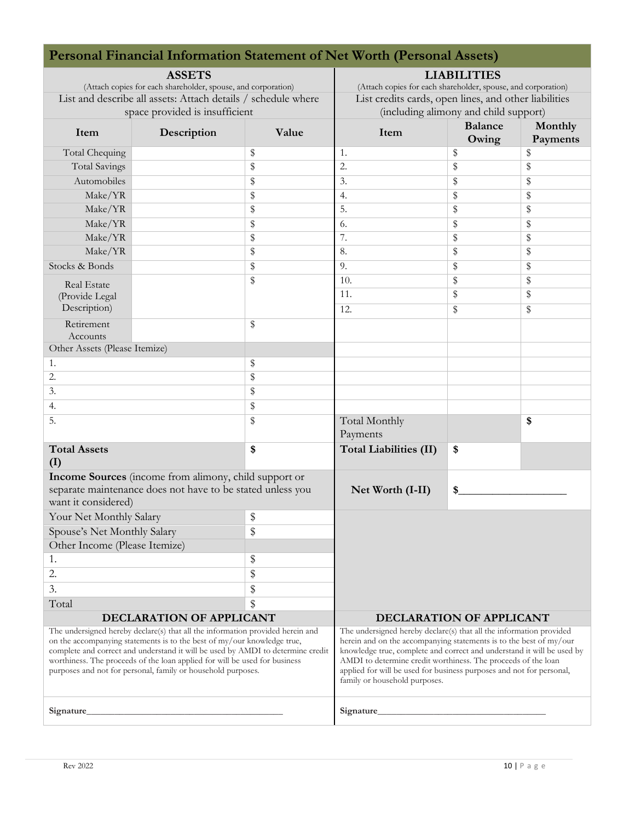| <b>Personal Financial Information Statement of Net Worth (Personal Assets)</b>                                                                                                                                                                                                                                                                                                             |                                                            |                                                                                                                                                                                                                                                                                                                                                                                               |                               |                                                               |                     |  |  |
|--------------------------------------------------------------------------------------------------------------------------------------------------------------------------------------------------------------------------------------------------------------------------------------------------------------------------------------------------------------------------------------------|------------------------------------------------------------|-----------------------------------------------------------------------------------------------------------------------------------------------------------------------------------------------------------------------------------------------------------------------------------------------------------------------------------------------------------------------------------------------|-------------------------------|---------------------------------------------------------------|---------------------|--|--|
| <b>ASSETS</b>                                                                                                                                                                                                                                                                                                                                                                              |                                                            |                                                                                                                                                                                                                                                                                                                                                                                               | <b>LIABILITIES</b>            |                                                               |                     |  |  |
| (Attach copies for each shareholder, spouse, and corporation)                                                                                                                                                                                                                                                                                                                              |                                                            |                                                                                                                                                                                                                                                                                                                                                                                               |                               | (Attach copies for each shareholder, spouse, and corporation) |                     |  |  |
| List and describe all assets: Attach details / schedule where                                                                                                                                                                                                                                                                                                                              |                                                            | List credits cards, open lines, and other liabilities                                                                                                                                                                                                                                                                                                                                         |                               |                                                               |                     |  |  |
|                                                                                                                                                                                                                                                                                                                                                                                            | space provided is insufficient                             |                                                                                                                                                                                                                                                                                                                                                                                               |                               | (including alimony and child support)                         |                     |  |  |
| Item                                                                                                                                                                                                                                                                                                                                                                                       | Description                                                | Value                                                                                                                                                                                                                                                                                                                                                                                         | Item                          | <b>Balance</b><br>Owing                                       | Monthly<br>Payments |  |  |
| Total Chequing                                                                                                                                                                                                                                                                                                                                                                             |                                                            | \$                                                                                                                                                                                                                                                                                                                                                                                            | 1.                            | \$                                                            | \$                  |  |  |
| <b>Total Savings</b>                                                                                                                                                                                                                                                                                                                                                                       |                                                            | \$                                                                                                                                                                                                                                                                                                                                                                                            | $\overline{2}$ .              | \$                                                            | \$                  |  |  |
| Automobiles                                                                                                                                                                                                                                                                                                                                                                                |                                                            | \$                                                                                                                                                                                                                                                                                                                                                                                            | 3.                            | \$                                                            | \$                  |  |  |
| Make/YR                                                                                                                                                                                                                                                                                                                                                                                    |                                                            | \$                                                                                                                                                                                                                                                                                                                                                                                            | 4.                            | \$                                                            | \$                  |  |  |
| Make/YR                                                                                                                                                                                                                                                                                                                                                                                    |                                                            | \$                                                                                                                                                                                                                                                                                                                                                                                            | $\overline{5}$ .              | \$                                                            | \$                  |  |  |
| Make/YR                                                                                                                                                                                                                                                                                                                                                                                    |                                                            | \$                                                                                                                                                                                                                                                                                                                                                                                            | 6.                            | \$                                                            | \$                  |  |  |
| Make/YR                                                                                                                                                                                                                                                                                                                                                                                    |                                                            | \$                                                                                                                                                                                                                                                                                                                                                                                            | 7.                            | \$                                                            | \$                  |  |  |
| Make/YR                                                                                                                                                                                                                                                                                                                                                                                    |                                                            | \$                                                                                                                                                                                                                                                                                                                                                                                            | 8.                            | \$                                                            | \$                  |  |  |
| Stocks & Bonds                                                                                                                                                                                                                                                                                                                                                                             |                                                            | \$                                                                                                                                                                                                                                                                                                                                                                                            | 9.                            | \$                                                            | \$                  |  |  |
| <b>Real Estate</b>                                                                                                                                                                                                                                                                                                                                                                         |                                                            | \$                                                                                                                                                                                                                                                                                                                                                                                            | 10.                           | \$                                                            | \$                  |  |  |
| (Provide Legal                                                                                                                                                                                                                                                                                                                                                                             |                                                            |                                                                                                                                                                                                                                                                                                                                                                                               | 11.                           | \$                                                            | \$                  |  |  |
| Description)                                                                                                                                                                                                                                                                                                                                                                               |                                                            |                                                                                                                                                                                                                                                                                                                                                                                               | 12.                           | \$                                                            | \$                  |  |  |
| Retirement<br>Accounts                                                                                                                                                                                                                                                                                                                                                                     |                                                            | \$                                                                                                                                                                                                                                                                                                                                                                                            |                               |                                                               |                     |  |  |
| Other Assets (Please Itemize)                                                                                                                                                                                                                                                                                                                                                              |                                                            |                                                                                                                                                                                                                                                                                                                                                                                               |                               |                                                               |                     |  |  |
| 1.                                                                                                                                                                                                                                                                                                                                                                                         |                                                            | \$                                                                                                                                                                                                                                                                                                                                                                                            |                               |                                                               |                     |  |  |
| 2.                                                                                                                                                                                                                                                                                                                                                                                         |                                                            | \$                                                                                                                                                                                                                                                                                                                                                                                            |                               |                                                               |                     |  |  |
| 3.                                                                                                                                                                                                                                                                                                                                                                                         |                                                            | \$                                                                                                                                                                                                                                                                                                                                                                                            |                               |                                                               |                     |  |  |
| 4.                                                                                                                                                                                                                                                                                                                                                                                         |                                                            | \$                                                                                                                                                                                                                                                                                                                                                                                            |                               |                                                               |                     |  |  |
| 5.                                                                                                                                                                                                                                                                                                                                                                                         |                                                            | \$                                                                                                                                                                                                                                                                                                                                                                                            | Total Monthly                 |                                                               | \$                  |  |  |
|                                                                                                                                                                                                                                                                                                                                                                                            |                                                            |                                                                                                                                                                                                                                                                                                                                                                                               | Payments                      |                                                               |                     |  |  |
| <b>Total Assets</b><br>(I)                                                                                                                                                                                                                                                                                                                                                                 |                                                            | \$                                                                                                                                                                                                                                                                                                                                                                                            | <b>Total Liabilities (II)</b> | \$                                                            |                     |  |  |
|                                                                                                                                                                                                                                                                                                                                                                                            | Income Sources (income from alimony, child support or      |                                                                                                                                                                                                                                                                                                                                                                                               |                               |                                                               |                     |  |  |
| want it considered)                                                                                                                                                                                                                                                                                                                                                                        | separate maintenance does not have to be stated unless you |                                                                                                                                                                                                                                                                                                                                                                                               | Net Worth (I-II)              | \$                                                            |                     |  |  |
| Your Net Monthly Salary                                                                                                                                                                                                                                                                                                                                                                    |                                                            | \$                                                                                                                                                                                                                                                                                                                                                                                            |                               |                                                               |                     |  |  |
| Spouse's Net Monthly Salary                                                                                                                                                                                                                                                                                                                                                                |                                                            | \$                                                                                                                                                                                                                                                                                                                                                                                            |                               |                                                               |                     |  |  |
| Other Income (Please Itemize)                                                                                                                                                                                                                                                                                                                                                              |                                                            |                                                                                                                                                                                                                                                                                                                                                                                               |                               |                                                               |                     |  |  |
| 1.                                                                                                                                                                                                                                                                                                                                                                                         |                                                            | \$                                                                                                                                                                                                                                                                                                                                                                                            |                               |                                                               |                     |  |  |
| 2.                                                                                                                                                                                                                                                                                                                                                                                         |                                                            | \$                                                                                                                                                                                                                                                                                                                                                                                            |                               |                                                               |                     |  |  |
| 3.                                                                                                                                                                                                                                                                                                                                                                                         |                                                            | \$                                                                                                                                                                                                                                                                                                                                                                                            |                               |                                                               |                     |  |  |
| Total                                                                                                                                                                                                                                                                                                                                                                                      |                                                            | \$                                                                                                                                                                                                                                                                                                                                                                                            |                               |                                                               |                     |  |  |
| DECLARATION OF APPLICANT                                                                                                                                                                                                                                                                                                                                                                   |                                                            | DECLARATION OF APPLICANT                                                                                                                                                                                                                                                                                                                                                                      |                               |                                                               |                     |  |  |
| The undersigned hereby declare(s) that all the information provided herein and<br>on the accompanying statements is to the best of my/our knowledge true,<br>complete and correct and understand it will be used by AMDI to determine credit<br>worthiness. The proceeds of the loan applied for will be used for business<br>purposes and not for personal, family or household purposes. |                                                            | The undersigned hereby declare(s) that all the information provided<br>herein and on the accompanying statements is to the best of my/our<br>knowledge true, complete and correct and understand it will be used by<br>AMDI to determine credit worthiness. The proceeds of the loan<br>applied for will be used for business purposes and not for personal,<br>family or household purposes. |                               |                                                               |                     |  |  |
| Signature_                                                                                                                                                                                                                                                                                                                                                                                 |                                                            | Signature_                                                                                                                                                                                                                                                                                                                                                                                    |                               |                                                               |                     |  |  |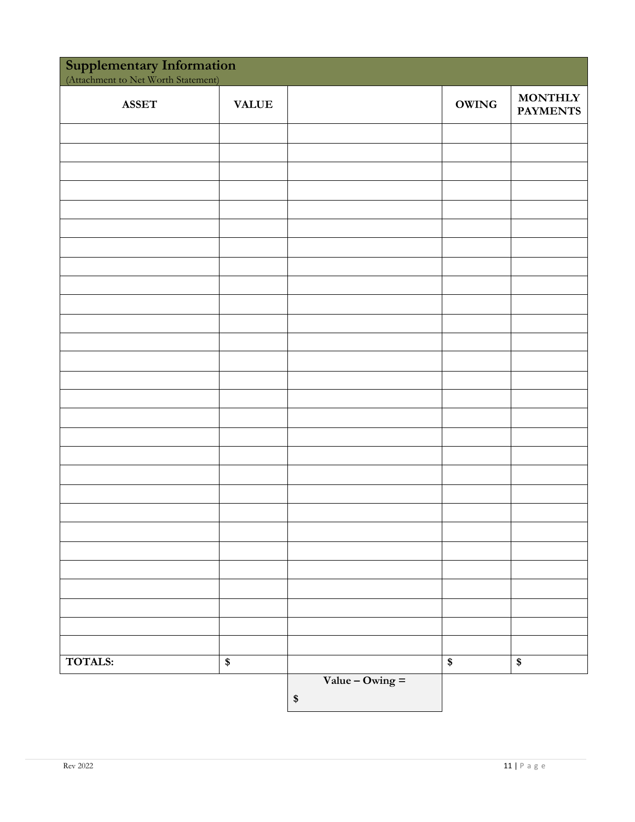| <b>Supplementary Information</b><br>(Attachment to Net Worth Statement) |              |                   |              |                                   |  |
|-------------------------------------------------------------------------|--------------|-------------------|--------------|-----------------------------------|--|
| <b>ASSET</b>                                                            | <b>VALUE</b> |                   | <b>OWING</b> | <b>MONTHLY</b><br><b>PAYMENTS</b> |  |
|                                                                         |              |                   |              |                                   |  |
|                                                                         |              |                   |              |                                   |  |
|                                                                         |              |                   |              |                                   |  |
|                                                                         |              |                   |              |                                   |  |
|                                                                         |              |                   |              |                                   |  |
|                                                                         |              |                   |              |                                   |  |
|                                                                         |              |                   |              |                                   |  |
|                                                                         |              |                   |              |                                   |  |
|                                                                         |              |                   |              |                                   |  |
|                                                                         |              |                   |              |                                   |  |
|                                                                         |              |                   |              |                                   |  |
|                                                                         |              |                   |              |                                   |  |
|                                                                         |              |                   |              |                                   |  |
|                                                                         |              |                   |              |                                   |  |
|                                                                         |              |                   |              |                                   |  |
|                                                                         |              |                   |              |                                   |  |
|                                                                         |              |                   |              |                                   |  |
|                                                                         |              |                   |              |                                   |  |
|                                                                         |              |                   |              |                                   |  |
|                                                                         |              |                   |              |                                   |  |
|                                                                         |              |                   |              |                                   |  |
|                                                                         |              |                   |              |                                   |  |
|                                                                         |              |                   |              |                                   |  |
|                                                                         |              |                   |              |                                   |  |
|                                                                         |              |                   |              |                                   |  |
|                                                                         |              |                   |              |                                   |  |
|                                                                         |              |                   |              |                                   |  |
| <b>TOTALS:</b>                                                          | \$           |                   | \$           | \$                                |  |
|                                                                         |              | Value – Owing $=$ |              |                                   |  |
|                                                                         |              | $\$$              |              |                                   |  |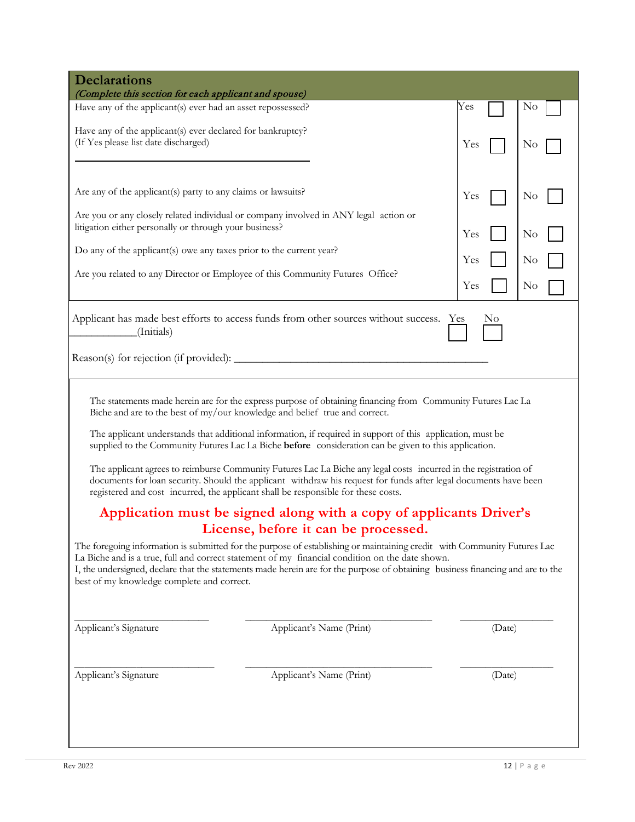| <b>Declarations</b><br>(Complete this section for each applicant and spouse)                                                                                                                                                                                                                                                                                                                                                                                                                                                                                                                                                                                                                                                                                                                                                                                                                                                                                                                                                                                                                                                                                                                                                                                               |                                                                                                                                                                       |                          |        |                      |  |  |
|----------------------------------------------------------------------------------------------------------------------------------------------------------------------------------------------------------------------------------------------------------------------------------------------------------------------------------------------------------------------------------------------------------------------------------------------------------------------------------------------------------------------------------------------------------------------------------------------------------------------------------------------------------------------------------------------------------------------------------------------------------------------------------------------------------------------------------------------------------------------------------------------------------------------------------------------------------------------------------------------------------------------------------------------------------------------------------------------------------------------------------------------------------------------------------------------------------------------------------------------------------------------------|-----------------------------------------------------------------------------------------------------------------------------------------------------------------------|--------------------------|--------|----------------------|--|--|
| Have any of the applicant(s) ever had an asset repossessed?                                                                                                                                                                                                                                                                                                                                                                                                                                                                                                                                                                                                                                                                                                                                                                                                                                                                                                                                                                                                                                                                                                                                                                                                                |                                                                                                                                                                       | Yes                      |        | N <sub>0</sub>       |  |  |
| Have any of the applicant(s) ever declared for bankruptcy?<br>(If Yes please list date discharged)                                                                                                                                                                                                                                                                                                                                                                                                                                                                                                                                                                                                                                                                                                                                                                                                                                                                                                                                                                                                                                                                                                                                                                         |                                                                                                                                                                       | Yes                      |        | No                   |  |  |
| Are any of the applicant(s) party to any claims or lawsuits?<br>litigation either personally or through your business?<br>Do any of the applicant(s) owe any taxes prior to the current year?                                                                                                                                                                                                                                                                                                                                                                                                                                                                                                                                                                                                                                                                                                                                                                                                                                                                                                                                                                                                                                                                              | Are you or any closely related individual or company involved in ANY legal action or<br>Are you related to any Director or Employee of this Community Futures Office? | Yes<br>Yes<br>Yes<br>Yes |        | No<br>No<br>No<br>No |  |  |
| (Initials)                                                                                                                                                                                                                                                                                                                                                                                                                                                                                                                                                                                                                                                                                                                                                                                                                                                                                                                                                                                                                                                                                                                                                                                                                                                                 | Applicant has made best efforts to access funds from other sources without success.                                                                                   | Yes                      | No     |                      |  |  |
| The statements made herein are for the express purpose of obtaining financing from Community Futures Lac La<br>Biche and are to the best of my/our knowledge and belief true and correct.<br>The applicant understands that additional information, if required in support of this application, must be<br>supplied to the Community Futures Lac La Biche before consideration can be given to this application.<br>The applicant agrees to reimburse Community Futures Lac La Biche any legal costs incurred in the registration of<br>documents for loan security. Should the applicant withdraw his request for funds after legal documents have been<br>registered and cost incurred, the applicant shall be responsible for these costs.<br>Application must be signed along with a copy of applicants Driver's<br>License, before it can be processed.<br>The foregoing information is submitted for the purpose of establishing or maintaining credit with Community Futures Lac<br>La Biche and is a true, full and correct statement of my financial condition on the date shown.<br>I, the undersigned, declare that the statements made herein are for the purpose of obtaining business financing and are to the<br>best of my knowledge complete and correct. |                                                                                                                                                                       |                          |        |                      |  |  |
| Applicant's Signature                                                                                                                                                                                                                                                                                                                                                                                                                                                                                                                                                                                                                                                                                                                                                                                                                                                                                                                                                                                                                                                                                                                                                                                                                                                      | Applicant's Name (Print)                                                                                                                                              |                          | (Date) |                      |  |  |
| Applicant's Signature<br>Applicant's Name (Print)                                                                                                                                                                                                                                                                                                                                                                                                                                                                                                                                                                                                                                                                                                                                                                                                                                                                                                                                                                                                                                                                                                                                                                                                                          |                                                                                                                                                                       | (Date)                   |        |                      |  |  |
|                                                                                                                                                                                                                                                                                                                                                                                                                                                                                                                                                                                                                                                                                                                                                                                                                                                                                                                                                                                                                                                                                                                                                                                                                                                                            |                                                                                                                                                                       |                          |        |                      |  |  |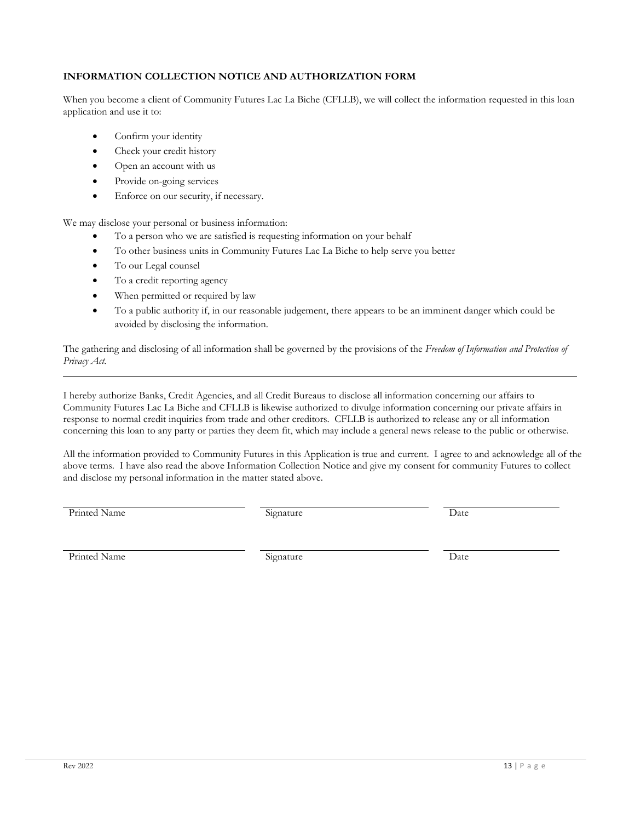# **INFORMATION COLLECTION NOTICE AND AUTHORIZATION FORM**

When you become a client of Community Futures Lac La Biche (CFLLB), we will collect the information requested in this loan application and use it to:

- Confirm your identity
- Check your credit history
- Open an account with us
- Provide on-going services
- Enforce on our security, if necessary.

We may disclose your personal or business information:

- To a person who we are satisfied is requesting information on your behalf
- To other business units in Community Futures Lac La Biche to help serve you better
- To our Legal counsel
- To a credit reporting agency
- When permitted or required by law
- To a public authority if, in our reasonable judgement, there appears to be an imminent danger which could be avoided by disclosing the information.

The gathering and disclosing of all information shall be governed by the provisions of the *Freedom of Information and Protection of Privacy Act.*

I hereby authorize Banks, Credit Agencies, and all Credit Bureaus to disclose all information concerning our affairs to Community Futures Lac La Biche and CFLLB is likewise authorized to divulge information concerning our private affairs in response to normal credit inquiries from trade and other creditors. CFLLB is authorized to release any or all information concerning this loan to any party or parties they deem fit, which may include a general news release to the public or otherwise.

All the information provided to Community Futures in this Application is true and current. I agree to and acknowledge all of the above terms. I have also read the above Information Collection Notice and give my consent for community Futures to collect and disclose my personal information in the matter stated above.

Printed Name Signature Signature Date

Printed Name **Signature** Signature **Date Date**